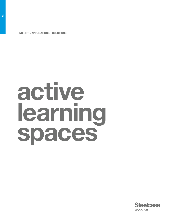INSIGHTS, APPLICATIONS + SOLUTIONS

# active learning spaces

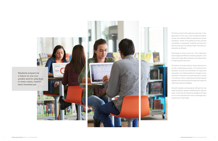Students prepare for a future no one can predict and for jobs that, in many cases, haven't been invented yet.





The future comes to the classroom every day. A new generation of tech savvy and connected students arrives with radically different experiences and ex pectations. Aware of the global economy and the competition it represents, students and their fam ilies are placing increasingly higher demands on education at all levels.

Technology is a force of its own. From interactive technologies and MOOCs to learning analytics, inno vative technology offers educators new approaches for learning and instruction.

Educators are responding to these diverse forc es with a refreshing openness. For the first time in decades, schools from elementary through postsecondary are making significant changes in how they teach. Educators are exploring what it means to be learner-centric, adopting active learning ped agogies and embracing technology that supports varied educational strategies.

Yet both students and educators still face the chal lenge of having to operate in facilities built for age-old ways of learning and teaching. Budgets are tight, so it's more important than ever to leverage every square foot of real estate.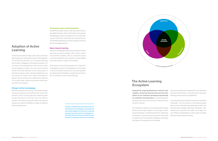Carefully considering the requirements and interdependencies of pedagogy, technology and space helps establish new protocols for advanced learning environment solutions. Pedagogy is intentionally placed at the top, signifying an active educator is required to employ active learning.

# Adoption of Active Learning

Students and teachers today suffer when outmoded learning spaces inadequately support the integration of the three key elements of a successful learning environment: pedagogy, technology and space. For too long, we have designed for what we know: classrooms designed in static rows and columns facing forward with little flexibility for the varied types of learning necessary today. Libraries designed to support books and quiet work, without the ability to support group learning and collaborative projects. In too many cases, these environments hinder learning rather than support.

## Change is driven by pedagogy.

Teaching methods are evolving, with classes employing group projects and individual work along with lectures. And it's not just instructors teaching; peerto-peer learning is on the rise. From one class to the next, sometimes during the same class period, classrooms need the flexibility to adapt to different learning preferences.

## Technology needs careful integration.

Students are digital natives, while instructors are usually digital adopters. Since technology must support the pedagogy used in the classroom, this divide often causes concerns for those who are untrained and uncomfortable developing instructional design protocols that truly engage learners.

### Space impacts learning.

Interactive pedagogies require learning spaces where everyone can see and interact with content, instructors and other students, often at a moment's notice. Learning preferences vary; spaces must be flexible and fluid enough to support this diversity.

Every space can be a learning space if it is intentionally designed to support the pedagogy and technology in use, and it allows instructors to move among teams providing real-time feedback, assessment and direction for students in peer-to-peer learning.



# The Active Learning Ecosystem

Inspired by ongoing Steelcase research and insights, active learning has become the foundation of our solutions developed specifically for students and educators. Learning happens anywhere and can be synchronous or asynchronous, formal or informal.

The change from passive to active learning often creates tensions that hinder adoption of new ways of learning and teaching. To ease these tensions, Steelcase advocates an active learning ecosystem that equally supports and incorporates pedagogy, technology and space. By looking at how individuals

learn and considering the requirements and interdependencies of these factors, new protocols for advanced learning environments are established.

The active learning ecosystem should be considered holistically—not only as part of the building master plan, but part of the learning master plan as well. This learning space strategy influences all spaces—from classrooms to libraries and cafés—and helps connect different stakeholders on their quest for higher level learning throughout the day.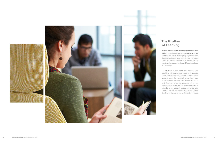



# The Rhythm of Learning

Effective planning for learning spaces requires a clear understanding that there is a rhythm of learning. Education is an ongoing, organic process that changes throughout a term, day and even class period and varies by learning place. The needs in the morning when classes begin are different from those in the evening.

During class time, classrooms must support quick transitions between learning modes, while also supporting digital and analog tools for students' active engagement. In the evening, learning places transition to support increased social study and group projects in informal learning spaces, as well as community events. Meanwhile, the middle and end of a term often drive increased individual work and greater need to consider the physical, cognitive and emotional needs of students during intense study periods.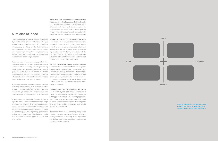A Palette of Place

Intentionally designing learning spaces requires this rhythm of learning to be considered by offering a palette of place. Students and educators should be offered a range of settings and the choice and control to select the best environment for their needs, while considering building adjacencies, demands for visual and acoustic privacy, and collaboration and user behaviors for each type of space.

Students analyze information, develop points of view, create new content and share it, and eventually must come to own their knowledge. This deeper learning might require a stimulating environment at times, a quiet place at others, or an environment in-between these extremes. Access to varied learning spaces within one floorplan or across all real estate supports the active learning process for all learners.

ing behaviors, a framework representing a range of spaces can be used. This framework demonstrates the need for private and public spaces that support individual work or work with others and can help guide building zoning, particularly When space, furniture and technology easily adapt as it relates to acoustic and visual privacy needs, user behaviors in various types of spaces and porting the rhythm of learning, campus planners other needs.

PRIVATE/ALONE Individual focused work with visual and acoustical accommodations. Despite an increase in collaborative work, individual study is still necessary for learning. These spaces, such as study enclaves and small breakout rooms, provide privacy without distraction for maximum productivity. Cool color palettes may be used to support solitude.

A palette of place also supports students' sense of energy of the place. ownership. Active learning involves a level of autonomy for individuals and groups to determine how and where they learn best, while still providing access to instructors to help students learn most effectively. impromptu brainstorming and sharing of information

PUBLIC/ALONE Individual work in the presence of others. Steelcase observational research repeatedly shows students studying alone together, such as at open tables in libraries and hallways. These spaces are used when social connections are important but individual study is required, for both quick touchdowns or lengthy stays. Mid-range cool colors should be used to support concentration and focused work in the presence of others.

To understand and design for these varying learn-ties for mentoring and learning among faculty and PUBLIC/TOGETHER Open group work with peers or faculty and staff. These spaces support among group members while allowing opportunistudents. Spaces should support different group sizes and postures. Mid-range warm hues should be used in these spaces.

PRIVATE/TOGETHER Group work with visual and acoustical accommodations. These spaces support team collaboration and study when visual or acoustic privacy is important. These spaces should accommodate a range of group sizes and learning modes, use vertical planes to display information, and allow users to easily share digital content. Warm hues should be used to reflect the

to pedagogies and learning preferences while supand designers can make a significant contribution to the educational process.

Based on our research, this framework helps explain how space can support the rhythm of learning across a floor, building and campus.